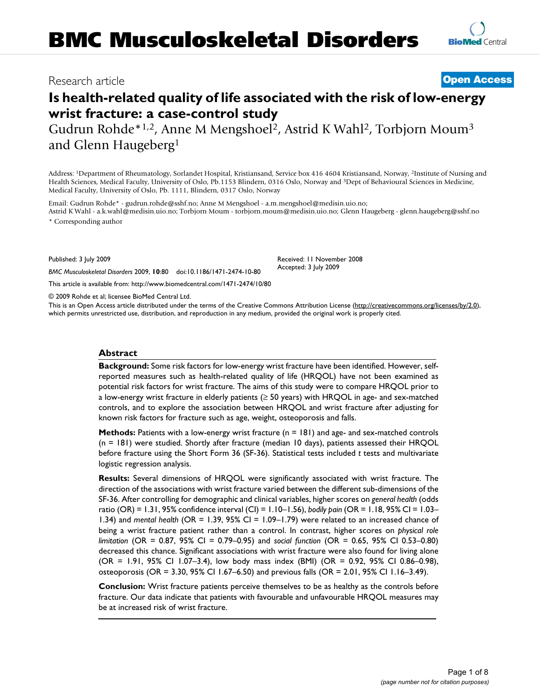**[BioMed](http://www.biomedcentral.com/)** Central

# **Is health-related quality of life associated with the risk of low-energy wrist fracture: a case-control study**

Gudrun Rohde\*1,2, Anne M Mengshoel2, Astrid K Wahl2, Torbjorn Moum3 and Glenn Haugeberg1

Address: 1Department of Rheumatology, Sorlandet Hospital, Kristiansand, Service box 416 4604 Kristiansand, Norway, 2Institute of Nursing and Health Sciences, Medical Faculty, University of Oslo, Pb.1153 Blindern, 0316 Oslo, Norway and 3Dept of Behavioural Sciences in Medicine, Medical Faculty, University of Oslo, Pb. 1111, Blindern, 0317 Oslo, Norway

Email: Gudrun Rohde\* - gudrun.rohde@sshf.no; Anne M Mengshoel - a.m.mengshoel@medisin.uio.no; Astrid K Wahl - a.k.wahl@medisin.uio.no; Torbjorn Moum - torbjorn.moum@medisin.uio.no; Glenn Haugeberg - glenn.haugeberg@sshf.no \* Corresponding author

Published: 3 July 2009

*BMC Musculoskeletal Disorders* 2009, **10**:80 doi:10.1186/1471-2474-10-80

[This article is available from: http://www.biomedcentral.com/1471-2474/10/80](http://www.biomedcentral.com/1471-2474/10/80)

© 2009 Rohde et al; licensee BioMed Central Ltd.

This is an Open Access article distributed under the terms of the Creative Commons Attribution License [\(http://creativecommons.org/licenses/by/2.0\)](http://creativecommons.org/licenses/by/2.0), which permits unrestricted use, distribution, and reproduction in any medium, provided the original work is properly cited.

Received: 11 November 2008 Accepted: 3 July 2009

#### **Abstract**

**Background:** Some risk factors for low-energy wrist fracture have been identified. However, selfreported measures such as health-related quality of life (HRQOL) have not been examined as potential risk factors for wrist fracture. The aims of this study were to compare HRQOL prior to a low-energy wrist fracture in elderly patients  $(≥ 50$  years) with HRQOL in age- and sex-matched controls, and to explore the association between HRQOL and wrist fracture after adjusting for known risk factors for fracture such as age, weight, osteoporosis and falls.

**Methods:** Patients with a low-energy wrist fracture (n = 181) and age- and sex-matched controls (n = 181) were studied. Shortly after fracture (median 10 days), patients assessed their HRQOL before fracture using the Short Form 36 (SF-36). Statistical tests included *t* tests and multivariate logistic regression analysis.

**Results:** Several dimensions of HRQOL were significantly associated with wrist fracture. The direction of the associations with wrist fracture varied between the different sub-dimensions of the SF-36. After controlling for demographic and clinical variables, higher scores on *general health* (odds ratio (OR) = 1.31, 95% confidence interval (CI) = 1.10–1.56), *bodily pain* (OR = 1.18, 95% CI = 1.03– 1.34) and *mental health* (OR = 1.39, 95% CI = 1.09–1.79) were related to an increased chance of being a wrist fracture patient rather than a control. In contrast, higher scores on *physical role limitation* (OR = 0.87, 95% CI = 0.79–0.95) and *social function* (OR = 0.65, 95% CI 0.53–0.80) decreased this chance. Significant associations with wrist fracture were also found for living alone (OR = 1.91, 95% CI 1.07–3.4), low body mass index (BMI) (OR = 0.92, 95% CI 0.86–0.98), osteoporosis (OR = 3.30, 95% CI 1.67–6.50) and previous falls (OR = 2.01, 95% CI 1.16–3.49).

**Conclusion:** Wrist fracture patients perceive themselves to be as healthy as the controls before fracture. Our data indicate that patients with favourable and unfavourable HRQOL measures may be at increased risk of wrist fracture.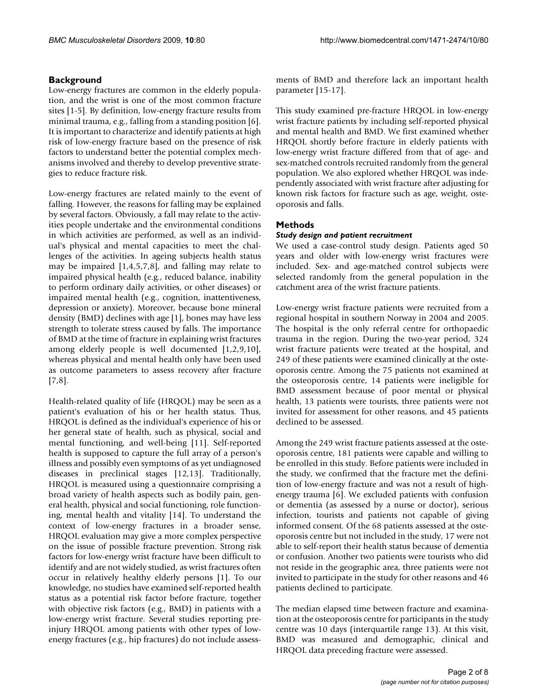#### **Background**

Low-energy fractures are common in the elderly population, and the wrist is one of the most common fracture sites [1-5]. By definition, low-energy fracture results from minimal trauma, e.g., falling from a standing position [6]. It is important to characterize and identify patients at high risk of low-energy fracture based on the presence of risk factors to understand better the potential complex mechanisms involved and thereby to develop preventive strategies to reduce fracture risk.

Low-energy fractures are related mainly to the event of falling. However, the reasons for falling may be explained by several factors. Obviously, a fall may relate to the activities people undertake and the environmental conditions in which activities are performed, as well as an individual's physical and mental capacities to meet the challenges of the activities. In ageing subjects health status may be impaired [1,4,5,7,8], and falling may relate to impaired physical health (e.g., reduced balance, inability to perform ordinary daily activities, or other diseases) or impaired mental health (e.g., cognition, inattentiveness, depression or anxiety). Moreover, because bone mineral density (BMD) declines with age [1], bones may have less strength to tolerate stress caused by falls. The importance of BMD at the time of fracture in explaining wrist fractures among elderly people is well documented [1,2,9,10], whereas physical and mental health only have been used as outcome parameters to assess recovery after fracture  $[7,8]$ .

Health-related quality of life (HRQOL) may be seen as a patient's evaluation of his or her health status. Thus, HRQOL is defined as the individual's experience of his or her general state of health, such as physical, social and mental functioning, and well-being [11]. Self-reported health is supposed to capture the full array of a person's illness and possibly even symptoms of as yet undiagnosed diseases in preclinical stages [12,13]. Traditionally, HRQOL is measured using a questionnaire comprising a broad variety of health aspects such as bodily pain, general health, physical and social functioning, role functioning, mental health and vitality [14]. To understand the context of low-energy fractures in a broader sense, HRQOL evaluation may give a more complex perspective on the issue of possible fracture prevention. Strong risk factors for low-energy wrist fracture have been difficult to identify and are not widely studied, as wrist fractures often occur in relatively healthy elderly persons [1]. To our knowledge, no studies have examined self-reported health status as a potential risk factor before fracture, together with objective risk factors (e.g., BMD) in patients with a low-energy wrist fracture. Several studies reporting preinjury HRQOL among patients with other types of lowenergy fractures (e.g., hip fractures) do not include assessments of BMD and therefore lack an important health parameter [15-17].

This study examined pre-fracture HRQOL in low-energy wrist fracture patients by including self-reported physical and mental health and BMD. We first examined whether HRQOL shortly before fracture in elderly patients with low-energy wrist fracture differed from that of age- and sex-matched controls recruited randomly from the general population. We also explored whether HRQOL was independently associated with wrist fracture after adjusting for known risk factors for fracture such as age, weight, osteoporosis and falls.

### **Methods**

#### *Study design and patient recruitment*

We used a case-control study design. Patients aged 50 years and older with low-energy wrist fractures were included. Sex- and age-matched control subjects were selected randomly from the general population in the catchment area of the wrist fracture patients.

Low-energy wrist fracture patients were recruited from a regional hospital in southern Norway in 2004 and 2005. The hospital is the only referral centre for orthopaedic trauma in the region. During the two-year period, 324 wrist fracture patients were treated at the hospital, and 249 of these patients were examined clinically at the osteoporosis centre. Among the 75 patients not examined at the osteoporosis centre, 14 patients were ineligible for BMD assessment because of poor mental or physical health, 13 patients were tourists, three patients were not invited for assessment for other reasons, and 45 patients declined to be assessed.

Among the 249 wrist fracture patients assessed at the osteoporosis centre, 181 patients were capable and willing to be enrolled in this study. Before patients were included in the study, we confirmed that the fracture met the definition of low-energy fracture and was not a result of highenergy trauma [6]. We excluded patients with confusion or dementia (as assessed by a nurse or doctor), serious infection, tourists and patients not capable of giving informed consent. Of the 68 patients assessed at the osteoporosis centre but not included in the study, 17 were not able to self-report their health status because of dementia or confusion. Another two patients were tourists who did not reside in the geographic area, three patients were not invited to participate in the study for other reasons and 46 patients declined to participate.

The median elapsed time between fracture and examination at the osteoporosis centre for participants in the study centre was 10 days (interquartile range 13). At this visit, BMD was measured and demographic, clinical and HRQOL data preceding fracture were assessed.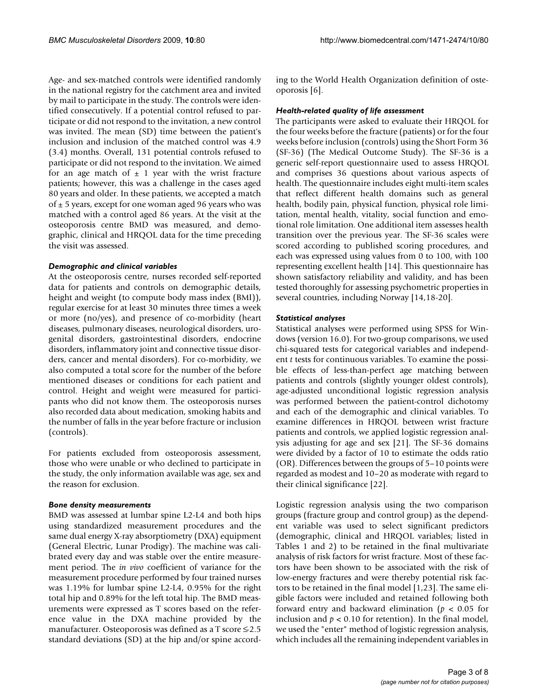Age- and sex-matched controls were identified randomly in the national registry for the catchment area and invited by mail to participate in the study. The controls were identified consecutively. If a potential control refused to participate or did not respond to the invitation, a new control was invited. The mean (SD) time between the patient's inclusion and inclusion of the matched control was 4.9 (3.4) months. Overall, 131 potential controls refused to participate or did not respond to the invitation. We aimed for an age match of  $\pm$  1 year with the wrist fracture patients; however, this was a challenge in the cases aged 80 years and older. In these patients, we accepted a match of  $\pm$  5 years, except for one woman aged 96 years who was matched with a control aged 86 years. At the visit at the osteoporosis centre BMD was measured, and demographic, clinical and HRQOL data for the time preceding the visit was assessed.

#### *Demographic and clinical variables*

At the osteoporosis centre, nurses recorded self-reported data for patients and controls on demographic details, height and weight (to compute body mass index (BMI)), regular exercise for at least 30 minutes three times a week or more (no/yes), and presence of co-morbidity (heart diseases, pulmonary diseases, neurological disorders, urogenital disorders, gastrointestinal disorders, endocrine disorders, inflammatory joint and connective tissue disorders, cancer and mental disorders). For co-morbidity, we also computed a total score for the number of the before mentioned diseases or conditions for each patient and control. Height and weight were measured for participants who did not know them. The osteoporosis nurses also recorded data about medication, smoking habits and the number of falls in the year before fracture or inclusion (controls).

For patients excluded from osteoporosis assessment, those who were unable or who declined to participate in the study, the only information available was age, sex and the reason for exclusion.

#### *Bone density measurements*

BMD was assessed at lumbar spine L2-L4 and both hips using standardized measurement procedures and the same dual energy X-ray absorptiometry (DXA) equipment (General Electric, Lunar Prodigy). The machine was calibrated every day and was stable over the entire measurement period. The *in vivo* coefficient of variance for the measurement procedure performed by four trained nurses was 1.19% for lumbar spine L2-L4, 0.95% for the right total hip and 0.89% for the left total hip. The BMD measurements were expressed as T scores based on the reference value in the DXA machine provided by the manufacturer. Osteoporosis was defined as a T score  $\leq$  2.5 standard deviations (SD) at the hip and/or spine according to the World Health Organization definition of osteoporosis [6].

#### *Health-related quality of life assessment*

The participants were asked to evaluate their HRQOL for the four weeks before the fracture (patients) or for the four weeks before inclusion (controls) using the Short Form 36 (SF-36) (The Medical Outcome Study). The SF-36 is a generic self-report questionnaire used to assess HRQOL and comprises 36 questions about various aspects of health. The questionnaire includes eight multi-item scales that reflect different health domains such as general health, bodily pain, physical function, physical role limitation, mental health, vitality, social function and emotional role limitation. One additional item assesses health transition over the previous year. The SF-36 scales were scored according to published scoring procedures, and each was expressed using values from 0 to 100, with 100 representing excellent health [14]. This questionnaire has shown satisfactory reliability and validity, and has been tested thoroughly for assessing psychometric properties in several countries, including Norway [14,18-20].

#### *Statistical analyses*

Statistical analyses were performed using SPSS for Windows (version 16.0). For two-group comparisons, we used chi-squared tests for categorical variables and independent *t* tests for continuous variables. To examine the possible effects of less-than-perfect age matching between patients and controls (slightly younger oldest controls), age-adjusted unconditional logistic regression analysis was performed between the patient-control dichotomy and each of the demographic and clinical variables. To examine differences in HRQOL between wrist fracture patients and controls, we applied logistic regression analysis adjusting for age and sex [21]. The SF-36 domains were divided by a factor of 10 to estimate the odds ratio (OR). Differences between the groups of 5–10 points were regarded as modest and 10–20 as moderate with regard to their clinical significance [22].

Logistic regression analysis using the two comparison groups (fracture group and control group) as the dependent variable was used to select significant predictors (demographic, clinical and HRQOL variables; listed in Tables 1 and 2) to be retained in the final multivariate analysis of risk factors for wrist fracture. Most of these factors have been shown to be associated with the risk of low-energy fractures and were thereby potential risk factors to be retained in the final model [1,23]. The same eligible factors were included and retained following both forward entry and backward elimination (*p* < 0.05 for inclusion and  $p < 0.10$  for retention). In the final model, we used the "enter" method of logistic regression analysis, which includes all the remaining independent variables in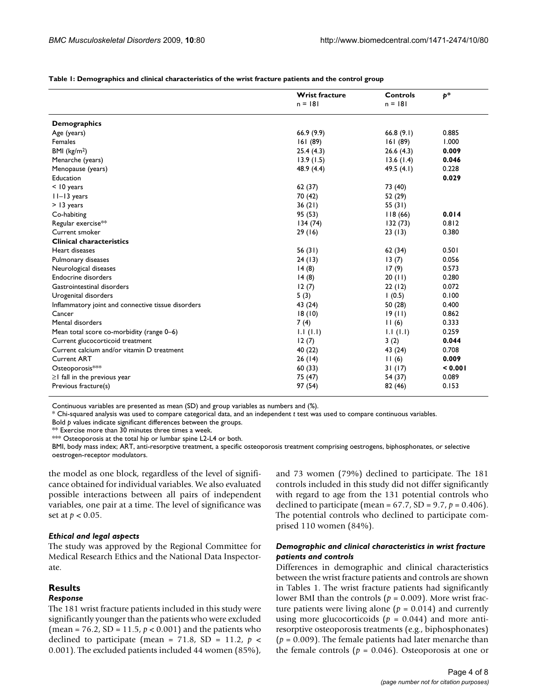|                     | <b>Wrist fracture</b> | <b>Controls</b> | Đ*    |  |
|---------------------|-----------------------|-----------------|-------|--|
|                     | $n = 181$             | $n = 181$       |       |  |
| <b>Demographics</b> |                       |                 |       |  |
| Age (years)         | 66.9(9.9)             | 66.8(9.1)       | 0.885 |  |
| Females             | 161(89)               | 161(89)         | .000  |  |
| $RML(kg/m^2)$       | 754(47)               | 766(43)         | n nn  |  |

**Table 1: Demographics and clinical characteristics of the wrist fracture patients and the control group**

| Females                                            | 161(89)    | 161(89)      | 1.000 |
|----------------------------------------------------|------------|--------------|-------|
| BMI $(kg/m2)$                                      | 25.4(4.3)  | 26.6(4.3)    | 0.009 |
| Menarche (years)                                   | 13.9(1.5)  | 13.6(1.4)    | 0.046 |
| Menopause (years)                                  | 48.9 (4.4) | 49.5 $(4.1)$ | 0.228 |
| Education                                          |            |              | 0.029 |
| $<$ 10 years                                       | 62(37)     | 73 (40)      |       |
| $11-13$ years                                      | 70 (42)    | 52 (29)      |       |
| > 13 years                                         | 36(21)     | 55 (31)      |       |
| Co-habiting                                        | 95 (53)    | 118(66)      | 0.014 |
| Regular exercise**                                 | 134(74)    | 132(73)      | 0.812 |
| Current smoker                                     | 29(16)     | 23(13)       | 0.380 |
| <b>Clinical characteristics</b>                    |            |              |       |
| Heart diseases                                     | 56 (31)    | 62 (34)      | 0.501 |
| Pulmonary diseases                                 | 24(13)     | 13(7)        | 0.056 |
| Neurological diseases                              | 14(8)      | 17(9)        | 0.573 |
| Endocrine disorders                                | 14(8)      | 20(11)       | 0.280 |
| Gastrointestinal disorders                         | 12(7)      | 22(12)       | 0.072 |
| Urogenital disorders                               | 5(3)       | 1(0.5)       | 0.100 |
| Inflammatory joint and connective tissue disorders | 43 (24)    | 50 (28)      | 0.400 |
| Cancer                                             | 18(10)     | 19(11)       | 0.862 |
| Mental disorders                                   | 7(4)       | 11(6)        | 0.333 |
| Mean total score co-morbidity (range 0-6)          | 1.1(1.1)   | 1.1(1.1)     | 0.259 |
| Current glucocorticoid treatment                   | 12(7)      | 3(2)         | 0.044 |
| Current calcium and/or vitamin D treatment         | 40 (22)    | 43 (24)      | 0.708 |
| <b>Current ART</b>                                 | 26(14)     | 11(6)        | 0.009 |
| Osteoporosis***                                    | 60(33)     | 31(17)       | 0.001 |
| $\geq$ I fall in the previous year                 | 75 (47)    | 54 (37)      | 0.089 |
| Previous fracture(s)                               | 97 (54)    | 82 (46)      | 0.153 |

Continuous variables are presented as mean (SD) and group variables as numbers and (%).

\* Chi-squared analysis was used to compare categorical data, and an independent *t* test was used to compare continuous variables.

Bold *p* values indicate significant differences between the groups.

\*\* Exercise more than 30 minutes three times a week.

\*\*\* Osteoporosis at the total hip or lumbar spine L2-L4 or both.

BMI, body mass index; ART, anti-resorptive treatment, a specific osteoporosis treatment comprising oestrogens, biphosphonates, or selective oestrogen-receptor modulators.

the model as one block, regardless of the level of significance obtained for individual variables. We also evaluated possible interactions between all pairs of independent variables, one pair at a time. The level of significance was set at *p* < 0.05.

#### *Ethical and legal aspects*

The study was approved by the Regional Committee for Medical Research Ethics and the National Data Inspectorate.

## **Results**

#### *Response*

The 181 wrist fracture patients included in this study were significantly younger than the patients who were excluded (mean = 76.2, SD = 11.5, *p* < 0.001) and the patients who declined to participate (mean =  $71.8$ , SD =  $11.2$ ,  $p \le$ 0.001). The excluded patients included 44 women (85%), and 73 women (79%) declined to participate. The 181 controls included in this study did not differ significantly with regard to age from the 131 potential controls who declined to participate (mean =  $67.7$ , SD =  $9.7$ ,  $p = 0.406$ ). The potential controls who declined to participate comprised 110 women (84%).

#### *Demographic and clinical characteristics in wrist fracture patients and controls*

Differences in demographic and clinical characteristics between the wrist fracture patients and controls are shown in Tables 1. The wrist fracture patients had significantly lower BMI than the controls (*p* = 0.009). More wrist fracture patients were living alone  $(p = 0.014)$  and currently using more glucocorticoids ( $p = 0.044$ ) and more antiresorptive osteoporosis treatments (e.g., biphosphonates) (*p* = 0.009). The female patients had later menarche than the female controls ( $p = 0.046$ ). Osteoporosis at one or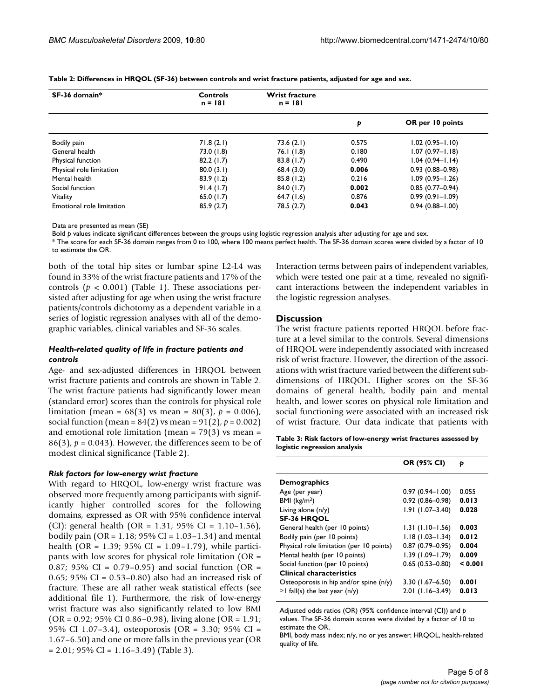| SF-36 domain*             | <b>Controls</b><br>$n = 181$ | <b>Wrist fracture</b><br>$n = 181$ |       |                     |
|---------------------------|------------------------------|------------------------------------|-------|---------------------|
|                           |                              |                                    | Þ     | OR per 10 points    |
| Bodily pain               | 71.8(2.1)                    | 73.6(2.1)                          | 0.575 | $1.02(0.95 - 1.10)$ |
| General health            | 73.0 (1.8)                   | 76.1 (1.8)                         | 0.180 | $1.07(0.97 - 1.18)$ |
| Physical function         | 82.2(1.7)                    | 83.8(1.7)                          | 0.490 | $1.04(0.94 - 1.14)$ |
| Physical role limitation  | 80.0(3.1)                    | 68.4(3.0)                          | 0.006 | $0.93(0.88 - 0.98)$ |
| Mental health             | 83.9(1.2)                    | 85.8(1.2)                          | 0.216 | $1.09(0.95 - 1.26)$ |
| Social function           | 91.4(1.7)                    | 84.0(1.7)                          | 0.002 | $0.85(0.77-0.94)$   |
| Vitality                  | 65.0(1.7)                    | 64.7(1.6)                          | 0.876 | $0.99(0.91 - 1.09)$ |
| Emotional role limitation | 85.9(2.7)                    | 78.5 (2.7)                         | 0.043 | $0.94(0.88 - 1.00)$ |

| Table 2: Differences in HRQOL (SF-36) between controls and wrist fracture patients, adjusted for age and sex. |  |  |  |  |
|---------------------------------------------------------------------------------------------------------------|--|--|--|--|
|---------------------------------------------------------------------------------------------------------------|--|--|--|--|

Data are presented as mean (SE)

Bold *p* values indicate significant differences between the groups using logistic regression analysis after adjusting for age and sex.

\* The score for each SF-36 domain ranges from 0 to 100, where 100 means perfect health. The SF-36 domain scores were divided by a factor of 10 to estimate the OR.

both of the total hip sites or lumbar spine L2-L4 was found in 33% of the wrist fracture patients and 17% of the controls  $(p < 0.001)$  (Table 1). These associations persisted after adjusting for age when using the wrist fracture patients/controls dichotomy as a dependent variable in a series of logistic regression analyses with all of the demographic variables, clinical variables and SF-36 scales.

#### *Health-related quality of life in fracture patients and controls*

Age- and sex-adjusted differences in HRQOL between wrist fracture patients and controls are shown in Table 2. The wrist fracture patients had significantly lower mean (standard error) scores than the controls for physical role limitation (mean =  $68(3)$  vs mean =  $80(3)$ ,  $p = 0.006$ ), social function (mean =  $84(2)$  vs mean =  $91(2)$ ,  $p = 0.002$ ) and emotional role limitation (mean =  $79(3)$  vs mean =  $86(3)$ ,  $p = 0.043$ ). However, the differences seem to be of modest clinical significance (Table 2).

#### *Risk factors for low-energy wrist fracture*

With regard to HRQOL, low-energy wrist fracture was observed more frequently among participants with significantly higher controlled scores for the following domains, expressed as OR with 95% confidence interval (CI): general health (OR =  $1.31$ ; 95% CI =  $1.10-1.56$ ), bodily pain (OR =  $1.18$ ; 95% CI =  $1.03-1.34$ ) and mental health (OR = 1.39; 95% CI = 1.09–1.79), while participants with low scores for physical role limitation (OR = 0.87; 95% CI = 0.79–0.95) and social function (OR = 0.65; 95% CI = 0.53–0.80) also had an increased risk of fracture. These are all rather weak statistical effects (see additional file 1). Furthermore, the risk of low-energy wrist fracture was also significantly related to low BMI (OR = 0.92; 95% CI 0.86–0.98), living alone (OR = 1.91; 95% CI 1.07–3.4), osteoporosis (OR = 3.30; 95% CI = 1.67–6.50) and one or more falls in the previous year (OR  $= 2.01$ ; 95% CI  $= 1.16 - 3.49$ ) (Table 3).

Interaction terms between pairs of independent variables, which were tested one pair at a time, revealed no significant interactions between the independent variables in the logistic regression analyses.

#### **Discussion**

The wrist fracture patients reported HRQOL before fracture at a level similar to the controls. Several dimensions of HRQOL were independently associated with increased risk of wrist fracture. However, the direction of the associations with wrist fracture varied between the different subdimensions of HRQOL. Higher scores on the SF-36 domains of general health, bodily pain and mental health, and lower scores on physical role limitation and social functioning were associated with an increased risk of wrist fracture. Our data indicate that patients with

#### **Table 3: Risk factors of low-energy wrist fractures assessed by logistic regression analysis**

| OR (95% CI)         | Þ     |
|---------------------|-------|
|                     |       |
| $0.97(0.94 - 1.00)$ | 0.055 |
| $0.92(0.86 - 0.98)$ | 0.013 |
| $1.91(1.07 - 3.40)$ | 0.028 |
|                     |       |
| $1.31(1.10 - 1.56)$ | 0.003 |
| $1.18(1.03 - 1.34)$ | 0.012 |
| $0.87(0.79 - 0.95)$ | 0.004 |
| $1.39(1.09 - 1.79)$ | 0.009 |
| $0.65(0.53 - 0.80)$ | 0.001 |
|                     |       |
| $3.30(1.67 - 6.50)$ | 0.001 |
| $2.01(1.16-3.49)$   | 0.013 |
|                     |       |

Adjusted odds ratios (OR) (95% confidence interval (CI)) and *p*  values. The SF-36 domain scores were divided by a factor of 10 to estimate the OR.

BMI, body mass index; n/y, no or yes answer; HRQOL, health-related quality of life.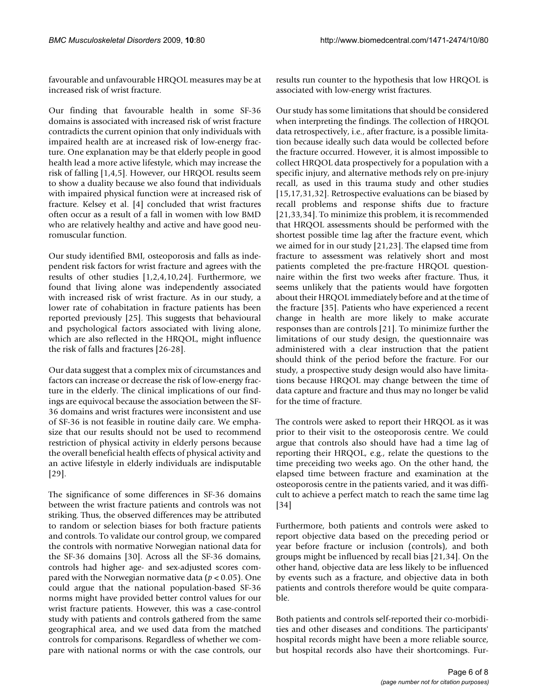favourable and unfavourable HRQOL measures may be at increased risk of wrist fracture.

Our finding that favourable health in some SF-36 domains is associated with increased risk of wrist fracture contradicts the current opinion that only individuals with impaired health are at increased risk of low-energy fracture. One explanation may be that elderly people in good health lead a more active lifestyle, which may increase the risk of falling [1,4,5]. However, our HRQOL results seem to show a duality because we also found that individuals with impaired physical function were at increased risk of fracture. Kelsey et al. [4] concluded that wrist fractures often occur as a result of a fall in women with low BMD who are relatively healthy and active and have good neuromuscular function.

Our study identified BMI, osteoporosis and falls as independent risk factors for wrist fracture and agrees with the results of other studies [1,2,4,10,24]. Furthermore, we found that living alone was independently associated with increased risk of wrist fracture. As in our study, a lower rate of cohabitation in fracture patients has been reported previously [25]. This suggests that behavioural and psychological factors associated with living alone, which are also reflected in the HRQOL, might influence the risk of falls and fractures [26-28].

Our data suggest that a complex mix of circumstances and factors can increase or decrease the risk of low-energy fracture in the elderly. The clinical implications of our findings are equivocal because the association between the SF-36 domains and wrist fractures were inconsistent and use of SF-36 is not feasible in routine daily care. We emphasize that our results should not be used to recommend restriction of physical activity in elderly persons because the overall beneficial health effects of physical activity and an active lifestyle in elderly individuals are indisputable [29].

The significance of some differences in SF-36 domains between the wrist fracture patients and controls was not striking. Thus, the observed differences may be attributed to random or selection biases for both fracture patients and controls. To validate our control group, we compared the controls with normative Norwegian national data for the SF-36 domains [30]. Across all the SF-36 domains, controls had higher age- and sex-adjusted scores compared with the Norwegian normative data (*p* < 0.05). One could argue that the national population-based SF-36 norms might have provided better control values for our wrist fracture patients. However, this was a case-control study with patients and controls gathered from the same geographical area, and we used data from the matched controls for comparisons. Regardless of whether we compare with national norms or with the case controls, our results run counter to the hypothesis that low HRQOL is associated with low-energy wrist fractures.

Our study has some limitations that should be considered when interpreting the findings. The collection of HRQOL data retrospectively, i.e., after fracture, is a possible limitation because ideally such data would be collected before the fracture occurred. However, it is almost impossible to collect HRQOL data prospectively for a population with a specific injury, and alternative methods rely on pre-injury recall, as used in this trauma study and other studies [15,17,31,32]. Retrospective evaluations can be biased by recall problems and response shifts due to fracture [21,33,34]. To minimize this problem, it is recommended that HRQOL assessments should be performed with the shortest possible time lag after the fracture event, which we aimed for in our study [21,23]. The elapsed time from fracture to assessment was relatively short and most patients completed the pre-fracture HRQOL questionnaire within the first two weeks after fracture. Thus, it seems unlikely that the patients would have forgotten about their HRQOL immediately before and at the time of the fracture [35]. Patients who have experienced a recent change in health are more likely to make accurate responses than are controls [21]. To minimize further the limitations of our study design, the questionnaire was administered with a clear instruction that the patient should think of the period before the fracture. For our study, a prospective study design would also have limitations because HRQOL may change between the time of data capture and fracture and thus may no longer be valid for the time of fracture.

The controls were asked to report their HRQOL as it was prior to their visit to the osteoporosis centre. We could argue that controls also should have had a time lag of reporting their HRQOL, e.g., relate the questions to the time preceiding two weeks ago. On the other hand, the elapsed time between fracture and examination at the osteoporosis centre in the patients varied, and it was difficult to achieve a perfect match to reach the same time lag [34]

Furthermore, both patients and controls were asked to report objective data based on the preceding period or year before fracture or inclusion (controls), and both groups might be influenced by recall bias [21,34]. On the other hand, objective data are less likely to be influenced by events such as a fracture, and objective data in both patients and controls therefore would be quite comparable.

Both patients and controls self-reported their co-morbidities and other diseases and conditions. The participants' hospital records might have been a more reliable source, but hospital records also have their shortcomings. Fur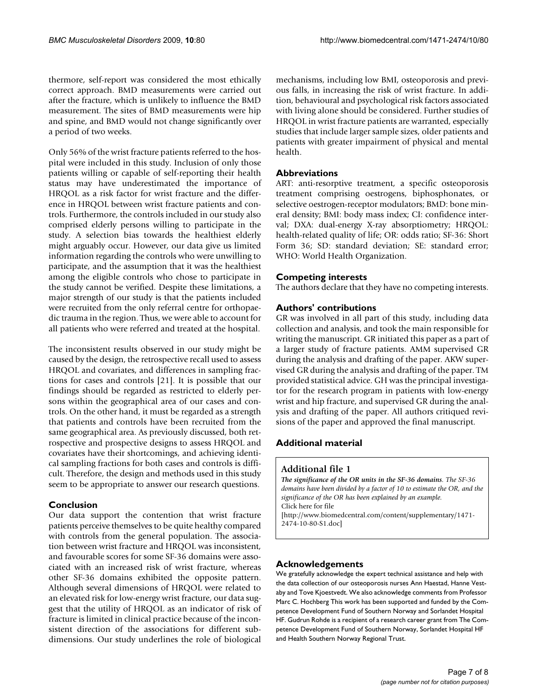thermore, self-report was considered the most ethically correct approach. BMD measurements were carried out after the fracture, which is unlikely to influence the BMD measurement. The sites of BMD measurements were hip and spine, and BMD would not change significantly over a period of two weeks.

Only 56% of the wrist fracture patients referred to the hospital were included in this study. Inclusion of only those patients willing or capable of self-reporting their health status may have underestimated the importance of HRQOL as a risk factor for wrist fracture and the difference in HRQOL between wrist fracture patients and controls. Furthermore, the controls included in our study also comprised elderly persons willing to participate in the study. A selection bias towards the healthiest elderly might arguably occur. However, our data give us limited information regarding the controls who were unwilling to participate, and the assumption that it was the healthiest among the eligible controls who chose to participate in the study cannot be verified. Despite these limitations, a major strength of our study is that the patients included were recruited from the only referral centre for orthopaedic trauma in the region. Thus, we were able to account for all patients who were referred and treated at the hospital.

The inconsistent results observed in our study might be caused by the design, the retrospective recall used to assess HRQOL and covariates, and differences in sampling fractions for cases and controls [21]. It is possible that our findings should be regarded as restricted to elderly persons within the geographical area of our cases and controls. On the other hand, it must be regarded as a strength that patients and controls have been recruited from the same geographical area. As previously discussed, both retrospective and prospective designs to assess HRQOL and covariates have their shortcomings, and achieving identical sampling fractions for both cases and controls is difficult. Therefore, the design and methods used in this study seem to be appropriate to answer our research questions.

#### **Conclusion**

Our data support the contention that wrist fracture patients perceive themselves to be quite healthy compared with controls from the general population. The association between wrist fracture and HRQOL was inconsistent, and favourable scores for some SF-36 domains were associated with an increased risk of wrist fracture, whereas other SF-36 domains exhibited the opposite pattern. Although several dimensions of HRQOL were related to an elevated risk for low-energy wrist fracture, our data suggest that the utility of HRQOL as an indicator of risk of fracture is limited in clinical practice because of the inconsistent direction of the associations for different subdimensions. Our study underlines the role of biological

mechanisms, including low BMI, osteoporosis and previous falls, in increasing the risk of wrist fracture. In addition, behavioural and psychological risk factors associated with living alone should be considered. Further studies of HRQOL in wrist fracture patients are warranted, especially studies that include larger sample sizes, older patients and patients with greater impairment of physical and mental health.

#### **Abbreviations**

ART: anti-resorptive treatment, a specific osteoporosis treatment comprising oestrogens, biphosphonates, or selective oestrogen-receptor modulators; BMD: bone mineral density; BMI: body mass index; CI: confidence interval; DXA: dual-energy X-ray absorptiometry; HRQOL: health-related quality of life; OR: odds ratio; SF-36: Short Form 36; SD: standard deviation; SE: standard error; WHO: World Health Organization.

#### **Competing interests**

The authors declare that they have no competing interests.

#### **Authors' contributions**

GR was involved in all part of this study, including data collection and analysis, and took the main responsible for writing the manuscript. GR initiated this paper as a part of a larger study of fracture patients. AMM supervised GR during the analysis and drafting of the paper. AKW supervised GR during the analysis and drafting of the paper. TM provided statistical advice. GH was the principal investigator for the research program in patients with low-energy wrist and hip fracture, and supervised GR during the analysis and drafting of the paper. All authors critiqued revisions of the paper and approved the final manuscript.

### **Additional material**

### **Additional file 1**

*The significance of the OR units in the SF-36 domains. The SF-36 domains have been divided by a factor of 10 to estimate the OR, and the significance of the OR has been explained by an example.* Click here for file [\[http://www.biomedcentral.com/content/supplementary/1471-](http://www.biomedcentral.com/content/supplementary/1471-2474-10-80-S1.doc) 2474-10-80-S1.doc]

#### **Acknowledgements**

We gratefully acknowledge the expert technical assistance and help with the data collection of our osteoporosis nurses Ann Haestad, Hanne Vestaby and Tove Kjoestvedt. We also acknowledge comments from Professor Marc C. Hochberg This work has been supported and funded by the Competence Development Fund of Southern Norway and Sorlandet Hospital HF. Gudrun Rohde is a recipient of a research career grant from The Competence Development Fund of Southern Norway, Sorlandet Hospital HF and Health Southern Norway Regional Trust.